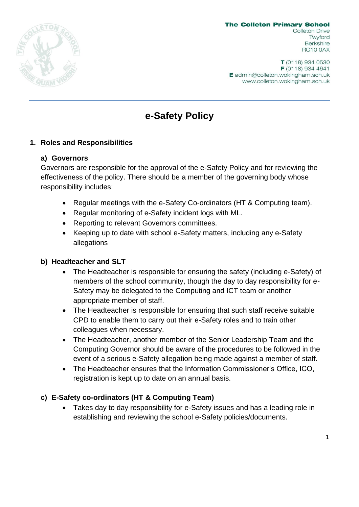

T (0118) 934 0530 F (0118) 934 4641 E admin@colleton.wokingham.sch.uk www.colleton.wokingham.sch.uk

# **e-Safety Policy**

# **1. Roles and Responsibilities**

#### **a) Governors**

Governors are responsible for the approval of the e-Safety Policy and for reviewing the effectiveness of the policy. There should be a member of the governing body whose responsibility includes:

- Regular meetings with the e-Safety Co-ordinators (HT & Computing team).
- Regular monitoring of e-Safety incident logs with ML.
- Reporting to relevant Governors committees.
- Keeping up to date with school e-Safety matters, including any e-Safety allegations

#### **b) Headteacher and SLT**

- The Headteacher is responsible for ensuring the safety (including e-Safety) of members of the school community, though the day to day responsibility for e-Safety may be delegated to the Computing and ICT team or another appropriate member of staff.
- The Headteacher is responsible for ensuring that such staff receive suitable CPD to enable them to carry out their e-Safety roles and to train other colleagues when necessary.
- The Headteacher, another member of the Senior Leadership Team and the Computing Governor should be aware of the procedures to be followed in the event of a serious e-Safety allegation being made against a member of staff.
- The Headteacher ensures that the Information Commissioner's Office, ICO, registration is kept up to date on an annual basis.

#### **c) E-Safety co-ordinators (HT & Computing Team)**

• Takes day to day responsibility for e-Safety issues and has a leading role in establishing and reviewing the school e-Safety policies/documents.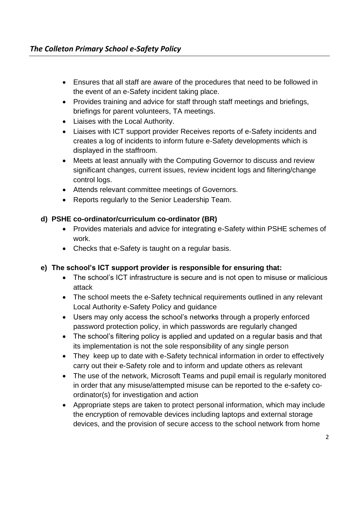- Ensures that all staff are aware of the procedures that need to be followed in the event of an e-Safety incident taking place.
- Provides training and advice for staff through staff meetings and briefings, briefings for parent volunteers, TA meetings.
- Liaises with the Local Authority.
- Liaises with ICT support provider Receives reports of e-Safety incidents and creates a log of incidents to inform future e-Safety developments which is displayed in the staffroom.
- Meets at least annually with the Computing Governor to discuss and review significant changes, current issues, review incident logs and filtering/change control logs.
- Attends relevant committee meetings of Governors.
- Reports regularly to the Senior Leadership Team.

# **d) PSHE co-ordinator/curriculum co-ordinator (BR)**

- Provides materials and advice for integrating e-Safety within PSHE schemes of work.
- Checks that e-Safety is taught on a regular basis.

# **e) The school's ICT support provider is responsible for ensuring that:**

- The school's ICT infrastructure is secure and is not open to misuse or malicious attack
- The school meets the e-Safety technical requirements outlined in any relevant Local Authority e-Safety Policy and guidance
- Users may only access the school's networks through a properly enforced password protection policy, in which passwords are regularly changed
- The school's filtering policy is applied and updated on a regular basis and that its implementation is not the sole responsibility of any single person
- They keep up to date with e-Safety technical information in order to effectively carry out their e-Safety role and to inform and update others as relevant
- The use of the network, Microsoft Teams and pupil email is regularly monitored in order that any misuse/attempted misuse can be reported to the e-safety coordinator(s) for investigation and action
- Appropriate steps are taken to protect personal information, which may include the encryption of removable devices including laptops and external storage devices, and the provision of secure access to the school network from home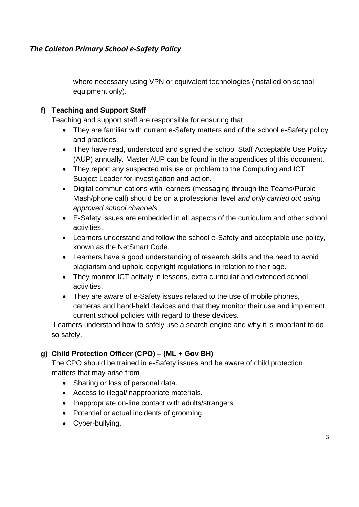where necessary using VPN or equivalent technologies (installed on school equipment only).

# **f) Teaching and Support Staff**

Teaching and support staff are responsible for ensuring that

- They are familiar with current e-Safety matters and of the school e-Safety policy and practices.
- They have read, understood and signed the school Staff Acceptable Use Policy (AUP) annually. Master AUP can be found in the appendices of this document.
- They report any suspected misuse or problem to the Computing and ICT Subject Leader for investigation and action.
- Digital communications with learners (messaging through the Teams/Purple Mash/phone call) should be on a professional level *and only carried out using approved school channels.*
- E-Safety issues are embedded in all aspects of the curriculum and other school activities.
- Learners understand and follow the school e-Safety and acceptable use policy, known as the NetSmart Code.
- Learners have a good understanding of research skills and the need to avoid plagiarism and uphold copyright regulations in relation to their age.
- They monitor ICT activity in lessons, extra curricular and extended school activities.
- They are aware of e-Safety issues related to the use of mobile phones, cameras and hand-held devices and that they monitor their use and implement current school policies with regard to these devices.

Learners understand how to safely use a search engine and why it is important to do so safely.

# **g) Child Protection Officer (CPO) – (ML + Gov BH)**

The CPO should be trained in e-Safety issues and be aware of child protection matters that may arise from

- Sharing or loss of personal data.
- Access to illegal/inappropriate materials.
- Inappropriate on-line contact with adults/strangers.
- Potential or actual incidents of grooming.
- Cyber-bullying.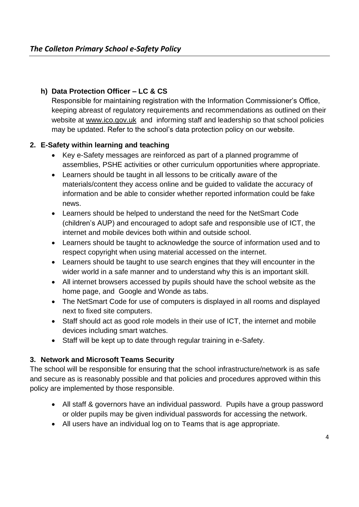# **h) Data Protection Officer – LC & CS**

Responsible for maintaining registration with the Information Commissioner's Office, keeping abreast of regulatory requirements and recommendations as outlined on their website at [www.ico.gov.uk](http://www.ico.gov.uk/) and informing staff and leadership so that school policies may be updated. Refer to the school's data protection policy on our website.

# **2. E-Safety within learning and teaching**

- Key e-Safety messages are reinforced as part of a planned programme of assemblies, PSHE activities or other curriculum opportunities where appropriate.
- Learners should be taught in all lessons to be critically aware of the materials/content they access online and be guided to validate the accuracy of information and be able to consider whether reported information could be fake news.
- Learners should be helped to understand the need for the NetSmart Code (children's AUP) and encouraged to adopt safe and responsible use of ICT, the internet and mobile devices both within and outside school.
- Learners should be taught to acknowledge the source of information used and to respect copyright when using material accessed on the internet.
- Learners should be taught to use search engines that they will encounter in the wider world in a safe manner and to understand why this is an important skill.
- All internet browsers accessed by pupils should have the school website as the home page, and Google and Wonde as tabs.
- The NetSmart Code for use of computers is displayed in all rooms and displayed next to fixed site computers.
- Staff should act as good role models in their use of ICT, the internet and mobile devices including smart watches.
- Staff will be kept up to date through regular training in e-Safety.

# **3. Network and Microsoft Teams Security**

The school will be responsible for ensuring that the school infrastructure/network is as safe and secure as is reasonably possible and that policies and procedures approved within this policy are implemented by those responsible.

- All staff & governors have an individual password. Pupils have a group password or older pupils may be given individual passwords for accessing the network.
- All users have an individual log on to Teams that is age appropriate.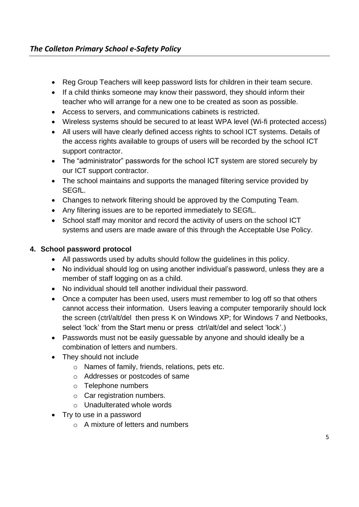- Reg Group Teachers will keep password lists for children in their team secure.
- If a child thinks someone may know their password, they should inform their teacher who will arrange for a new one to be created as soon as possible.
- Access to servers, and communications cabinets is restricted.
- Wireless systems should be secured to at least WPA level (Wi-fi protected access)
- All users will have clearly defined access rights to school ICT systems. Details of the access rights available to groups of users will be recorded by the school ICT support contractor.
- The "administrator" passwords for the school ICT system are stored securely by our ICT support contractor.
- The school maintains and supports the managed filtering service provided by SEGfL.
- Changes to network filtering should be approved by the Computing Team.
- Any filtering issues are to be reported immediately to SEGfL.
- School staff may monitor and record the activity of users on the school ICT systems and users are made aware of this through the Acceptable Use Policy.

# **4. School password protocol**

- All passwords used by adults should follow the guidelines in this policy.
- No individual should log on using another individual's password, unless they are a member of staff logging on as a child.
- No individual should tell another individual their password.
- Once a computer has been used, users must remember to log off so that others cannot access their information. Users leaving a computer temporarily should lock the screen (ctrl/alt/del then press K on Windows XP; for Windows 7 and Netbooks, select 'lock' from the Start menu or press ctrl/alt/del and select 'lock'.)
- Passwords must not be easily guessable by anyone and should ideally be a combination of letters and numbers.
- They should not include
	- o Names of family, friends, relations, pets etc.
	- o Addresses or postcodes of same
	- o Telephone numbers
	- $\circ$  Car registration numbers.
	- o Unadulterated whole words
- Try to use in a password
	- o A mixture of letters and numbers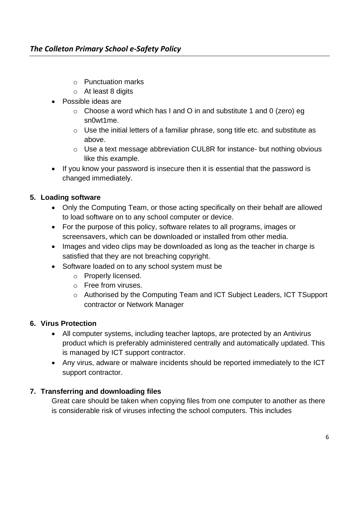# *The Colleton Primary School e-Safety Policy*

- o Punctuation marks
- $\circ$  At least 8 digits
- Possible ideas are
	- $\circ$  Choose a word which has I and O in and substitute 1 and 0 (zero) eg sn0wt1me.
	- o Use the initial letters of a familiar phrase, song title etc. and substitute as above.
	- o Use a text message abbreviation CUL8R for instance- but nothing obvious like this example.
- If you know your password is insecure then it is essential that the password is changed immediately.

# **5. Loading software**

- Only the Computing Team, or those acting specifically on their behalf are allowed to load software on to any school computer or device.
- For the purpose of this policy, software relates to all programs, images or screensavers, which can be downloaded or installed from other media.
- Images and video clips may be downloaded as long as the teacher in charge is satisfied that they are not breaching copyright.
- Software loaded on to any school system must be
	- o Properly licensed.
	- o Free from viruses.
	- o Authorised by the Computing Team and ICT Subject Leaders, ICT TSupport contractor or Network Manager

#### **6. Virus Protection**

- All computer systems, including teacher laptops, are protected by an Antivirus product which is preferably administered centrally and automatically updated. This is managed by ICT support contractor.
- Any virus, adware or malware incidents should be reported immediately to the ICT support contractor.

#### **7. Transferring and downloading files**

Great care should be taken when copying files from one computer to another as there is considerable risk of viruses infecting the school computers. This includes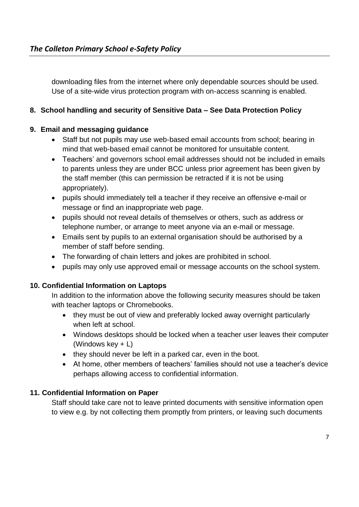downloading files from the internet where only dependable sources should be used. Use of a site-wide virus protection program with on-access scanning is enabled.

# **8. School handling and security of Sensitive Data – See Data Protection Policy**

# **9. Email and messaging guidance**

- Staff but not pupils may use web-based email accounts from school; bearing in mind that web-based email cannot be monitored for unsuitable content.
- Teachers' and governors school email addresses should not be included in emails to parents unless they are under BCC unless prior agreement has been given by the staff member (this can permission be retracted if it is not be using appropriately).
- pupils should immediately tell a teacher if they receive an offensive e-mail or message or find an inappropriate web page.
- pupils should not reveal details of themselves or others, such as address or telephone number, or arrange to meet anyone via an e-mail or message.
- Emails sent by pupils to an external organisation should be authorised by a member of staff before sending.
- The forwarding of chain letters and jokes are prohibited in school.
- pupils may only use approved email or message accounts on the school system.

#### **10. Confidential Information on Laptops**

In addition to the information above the following security measures should be taken with teacher laptops or Chromebooks.

- they must be out of view and preferably locked away overnight particularly when left at school.
- Windows desktops should be locked when a teacher user leaves their computer (Windows key + L)
- they should never be left in a parked car, even in the boot.
- At home, other members of teachers' families should not use a teacher's device perhaps allowing access to confidential information.

#### **11. Confidential Information on Paper**

Staff should take care not to leave printed documents with sensitive information open to view e.g. by not collecting them promptly from printers, or leaving such documents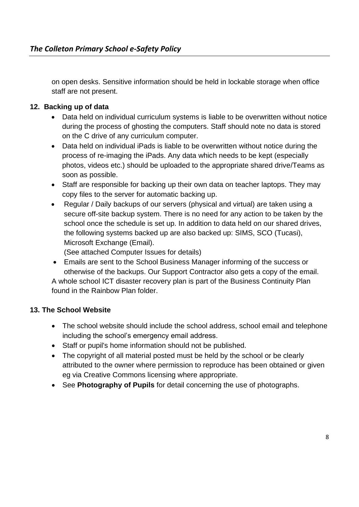on open desks. Sensitive information should be held in lockable storage when office staff are not present.

# **12. Backing up of data**

- Data held on individual curriculum systems is liable to be overwritten without notice during the process of ghosting the computers. Staff should note no data is stored on the C drive of any curriculum computer.
- Data held on individual iPads is liable to be overwritten without notice during the process of re-imaging the iPads. Any data which needs to be kept (especially photos, videos etc.) should be uploaded to the appropriate shared drive/Teams as soon as possible.
- Staff are responsible for backing up their own data on teacher laptops. They may copy files to the server for automatic backing up.
- Regular / Daily backups of our servers (physical and virtual) are taken using a secure off-site backup system. There is no need for any action to be taken by the school once the schedule is set up. In addition to data held on our shared drives, the following systems backed up are also backed up: SIMS, SCO (Tucasi), Microsoft Exchange (Email).

(See attached Computer Issues for details)

• Emails are sent to the School Business Manager informing of the success or otherwise of the backups. Our Support Contractor also gets a copy of the email. A whole school ICT disaster recovery plan is part of the Business Continuity Plan found in the Rainbow Plan folder.

#### **13. The School Website**

- The school website should include the school address, school email and telephone including the school's emergency email address.
- Staff or pupil's home information should not be published.
- The copyright of all material posted must be held by the school or be clearly attributed to the owner where permission to reproduce has been obtained or given eg via Creative Commons licensing where appropriate.
- See **Photography of Pupils** for detail concerning the use of photographs.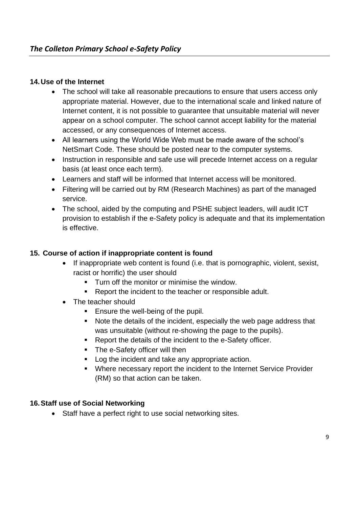### **14.Use of the Internet**

- The school will take all reasonable precautions to ensure that users access only appropriate material. However, due to the international scale and linked nature of Internet content, it is not possible to guarantee that unsuitable material will never appear on a school computer. The school cannot accept liability for the material accessed, or any consequences of Internet access.
- All learners using the World Wide Web must be made aware of the school's NetSmart Code. These should be posted near to the computer systems.
- Instruction in responsible and safe use will precede Internet access on a regular basis (at least once each term).
- Learners and staff will be informed that Internet access will be monitored.
- Filtering will be carried out by RM (Research Machines) as part of the managed service.
- The school, aided by the computing and PSHE subject leaders, will audit ICT provision to establish if the e-Safety policy is adequate and that its implementation is effective.

### **15. Course of action if inappropriate content is found**

- If inappropriate web content is found (i.e. that is pornographic, violent, sexist, racist or horrific) the user should
	- **Turn off the monitor or minimise the window.**
	- Report the incident to the teacher or responsible adult.
- The teacher should
	- Ensure the well-being of the pupil.
	- Note the details of the incident, especially the web page address that was unsuitable (without re-showing the page to the pupils).
	- Report the details of the incident to the e-Safety officer.
	- **•** The e-Safety officer will then
	- Log the incident and take any appropriate action.
	- Where necessary report the incident to the Internet Service Provider (RM) so that action can be taken.

#### **16.Staff use of Social Networking**

• Staff have a perfect right to use social networking sites.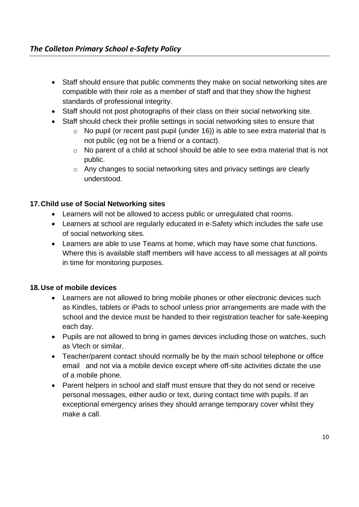- Staff should ensure that public comments they make on social networking sites are compatible with their role as a member of staff and that they show the highest standards of professional integrity.
- Staff should not post photographs of their class on their social networking site.
- Staff should check their profile settings in social networking sites to ensure that
	- o No pupil (or recent past pupil (under 16)) is able to see extra material that is not public (eg not be a friend or a contact).
	- o No parent of a child at school should be able to see extra material that is not public.
	- o Any changes to social networking sites and privacy settings are clearly understood.

# **17.Child use of Social Networking sites**

- Learners will not be allowed to access public or unregulated chat rooms.
- Learners at school are regularly educated in e-Safety which includes the safe use of social networking sites.
- Learners are able to use Teams at home, which may have some chat functions. Where this is available staff members will have access to all messages at all points in time for monitoring purposes.

#### **18.Use of mobile devices**

- Learners are not allowed to bring mobile phones or other electronic devices such as Kindles, tablets or iPads to school unless prior arrangements are made with the school and the device must be handed to their registration teacher for safe-keeping each day.
- Pupils are not allowed to bring in games devices including those on watches, such as Vtech or similar.
- Teacher/parent contact should normally be by the main school telephone or office email and not via a mobile device except where off-site activities dictate the use of a mobile phone.
- Parent helpers in school and staff must ensure that they do not send or receive personal messages, either audio or text, during contact time with pupils. If an exceptional emergency arises they should arrange temporary cover whilst they make a call.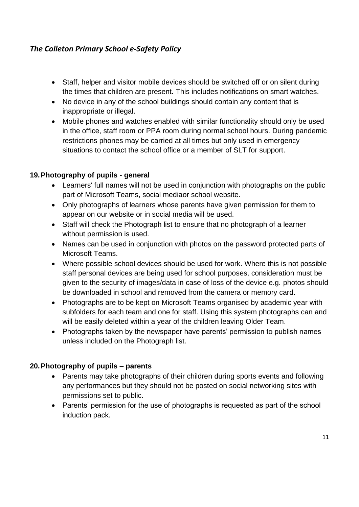- Staff, helper and visitor mobile devices should be switched off or on silent during the times that children are present. This includes notifications on smart watches.
- No device in any of the school buildings should contain any content that is inappropriate or illegal.
- Mobile phones and watches enabled with similar functionality should only be used in the office, staff room or PPA room during normal school hours. During pandemic restrictions phones may be carried at all times but only used in emergency situations to contact the school office or a member of SLT for support.

# **19.Photography of pupils - general**

- Learners' full names will not be used in conjunction with photographs on the public part of Microsoft Teams, social mediaor school website.
- Only photographs of learners whose parents have given permission for them to appear on our website or in social media will be used.
- Staff will check the Photograph list to ensure that no photograph of a learner without permission is used.
- Names can be used in conjunction with photos on the password protected parts of Microsoft Teams.
- Where possible school devices should be used for work. Where this is not possible staff personal devices are being used for school purposes, consideration must be given to the security of images/data in case of loss of the device e.g. photos should be downloaded in school and removed from the camera or memory card.
- Photographs are to be kept on Microsoft Teams organised by academic year with subfolders for each team and one for staff. Using this system photographs can and will be easily deleted within a year of the children leaving Older Team.
- Photographs taken by the newspaper have parents' permission to publish names unless included on the Photograph list.

# **20.Photography of pupils – parents**

- Parents may take photographs of their children during sports events and following any performances but they should not be posted on social networking sites with permissions set to public.
- Parents' permission for the use of photographs is requested as part of the school induction pack.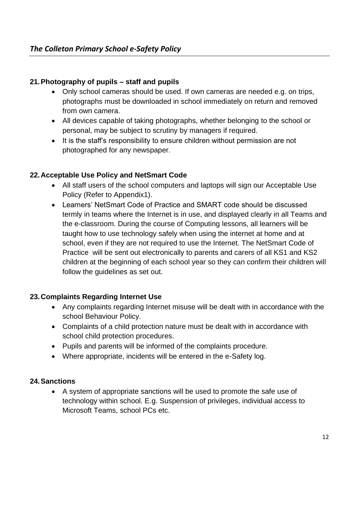# **21.Photography of pupils – staff and pupils**

- Only school cameras should be used. If own cameras are needed e.g. on trips, photographs must be downloaded in school immediately on return and removed from own camera.
- All devices capable of taking photographs, whether belonging to the school or personal, may be subject to scrutiny by managers if required.
- It is the staff's responsibility to ensure children without permission are not photographed for any newspaper.

# **22.Acceptable Use Policy and NetSmart Code**

- All staff users of the school computers and laptops will sign our Acceptable Use Policy (Refer to Appendix1).
- Learners' NetSmart Code of Practice and SMART code should be discussed termly in teams where the Internet is in use, and displayed clearly in all Teams and the e-classroom. During the course of Computing lessons, all learners will be taught how to use technology safely when using the internet at home and at school, even if they are not required to use the Internet. The NetSmart Code of Practice will be sent out electronically to parents and carers of all KS1 and KS2 children at the beginning of each school year so they can confirm their children will follow the guidelines as set out.

#### **23.Complaints Regarding Internet Use**

- Any complaints regarding Internet misuse will be dealt with in accordance with the school Behaviour Policy.
- Complaints of a child protection nature must be dealt with in accordance with school child protection procedures.
- Pupils and parents will be informed of the complaints procedure.
- Where appropriate, incidents will be entered in the e-Safety log.

#### **24.Sanctions**

• A system of appropriate sanctions will be used to promote the safe use of technology within school. E.g. Suspension of privileges, individual access to Microsoft Teams, school PCs etc.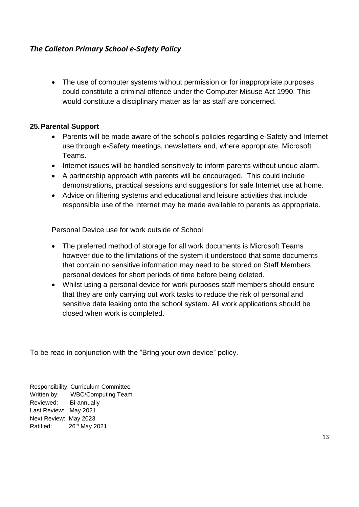• The use of computer systems without permission or for inappropriate purposes could constitute a criminal offence under the Computer Misuse Act 1990. This would constitute a disciplinary matter as far as staff are concerned.

### **25.Parental Support**

- Parents will be made aware of the school's policies regarding e-Safety and Internet use through e-Safety meetings, newsletters and, where appropriate, Microsoft Teams.
- Internet issues will be handled sensitively to inform parents without undue alarm.
- A partnership approach with parents will be encouraged. This could include demonstrations, practical sessions and suggestions for safe Internet use at home.
- Advice on filtering systems and educational and leisure activities that include responsible use of the Internet may be made available to parents as appropriate.

Personal Device use for work outside of School

- The preferred method of storage for all work documents is Microsoft Teams however due to the limitations of the system it understood that some documents that contain no sensitive information may need to be stored on Staff Members personal devices for short periods of time before being deleted.
- Whilst using a personal device for work purposes staff members should ensure that they are only carrying out work tasks to reduce the risk of personal and sensitive data leaking onto the school system. All work applications should be closed when work is completed.

To be read in conjunction with the "Bring your own device" policy.

Responsibility: Curriculum Committee Written by: WBC/Computing Team Reviewed: Bi-annually Last Review: May 2021 Next Review: May 2023 Ratified: 26<sup>th</sup> May 2021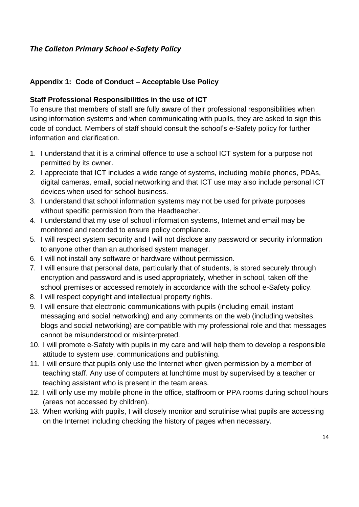# **Appendix 1: Code of Conduct – Acceptable Use Policy**

# **Staff Professional Responsibilities in the use of ICT**

To ensure that members of staff are fully aware of their professional responsibilities when using information systems and when communicating with pupils, they are asked to sign this code of conduct. Members of staff should consult the school's e-Safety policy for further information and clarification.

- 1. I understand that it is a criminal offence to use a school ICT system for a purpose not permitted by its owner.
- 2. I appreciate that ICT includes a wide range of systems, including mobile phones, PDAs, digital cameras, email, social networking and that ICT use may also include personal ICT devices when used for school business.
- 3. I understand that school information systems may not be used for private purposes without specific permission from the Headteacher.
- 4. I understand that my use of school information systems, Internet and email may be monitored and recorded to ensure policy compliance.
- 5. I will respect system security and I will not disclose any password or security information to anyone other than an authorised system manager.
- 6. I will not install any software or hardware without permission.
- 7. I will ensure that personal data, particularly that of students, is stored securely through encryption and password and is used appropriately, whether in school, taken off the school premises or accessed remotely in accordance with the school e-Safety policy.
- 8. I will respect copyright and intellectual property rights.
- 9. I will ensure that electronic communications with pupils (including email, instant messaging and social networking) and any comments on the web (including websites, blogs and social networking) are compatible with my professional role and that messages cannot be misunderstood or misinterpreted.
- 10. I will promote e-Safety with pupils in my care and will help them to develop a responsible attitude to system use, communications and publishing.
- 11. I will ensure that pupils only use the Internet when given permission by a member of teaching staff. Any use of computers at lunchtime must by supervised by a teacher or teaching assistant who is present in the team areas.
- 12. I will only use my mobile phone in the office, staffroom or PPA rooms during school hours (areas not accessed by children).
- 13. When working with pupils, I will closely monitor and scrutinise what pupils are accessing on the Internet including checking the history of pages when necessary.